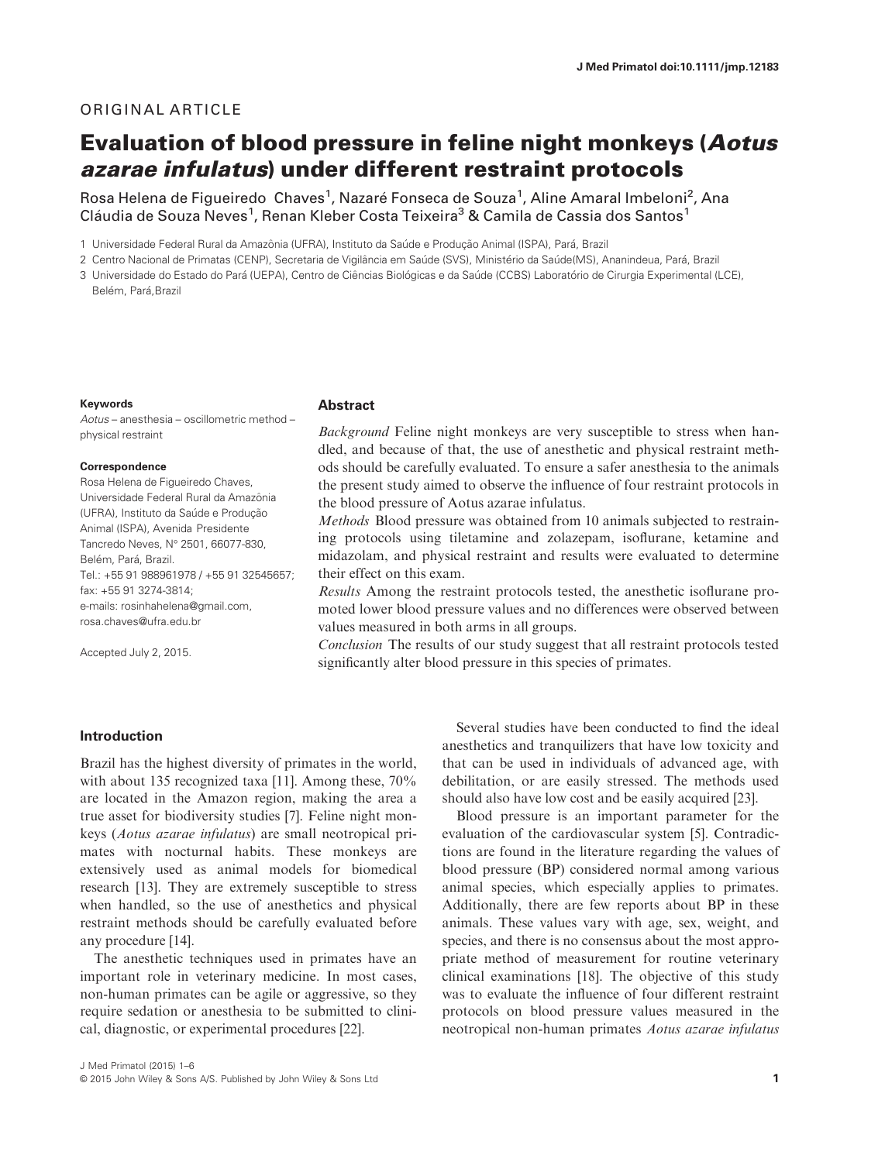# ORIGINAL ARTICLE

# Evaluation of blood pressure in feline night monkeys (Aotus azarae infulatus) under different restraint protocols

Rosa Helena de Figueiredo Chaves<sup>1</sup>, Nazaré Fonseca de Souza<sup>1</sup>, Aline Amaral Imbeloni<sup>2</sup>, Ana Cláudia de Souza Neves<sup>1</sup>, Renan Kleber Costa Teixeira<sup>3</sup> & Camila de Cassia dos Santos<sup>1</sup>

1 Universidade Federal Rural da Amazônia (UFRA), Instituto da Saúde e Produção Animal (ISPA), Pará, Brazil

2 Centro Nacional de Primatas (CENP), Secretaria de Vigilância em Saúde (SVS), Ministério da Saúde(MS), Ananindeua, Pará, Brazil

3 Universidade do Estado do Pará (UEPA), Centro de Ciências Biológicas e da Saúde (CCBS) Laboratório de Cirurgia Experimental (LCE), Belém, Pará, Brazil

#### Keywords

Aotus – anesthesia – oscillometric method – physical restraint

#### Correspondence

Rosa Helena de Figueiredo Chaves, Universidade Federal Rural da Amazonia ^ (UFRA), Instituto da Saúde e Producão Animal (ISPA), Avenida Presidente Tancredo Neves, Nº 2501, 66077-830, Belém, Pará, Brazil. Tel.: +55 91 988961978 / +55 91 32545657; fax: +55 91 3274-3814; e-mails: rosinhahelena@gmail.com, rosa.chaves@ufra.edu.br

Accepted July 2, 2015.

## **Abstract**

Background Feline night monkeys are very susceptible to stress when handled, and because of that, the use of anesthetic and physical restraint methods should be carefully evaluated. To ensure a safer anesthesia to the animals the present study aimed to observe the influence of four restraint protocols in the blood pressure of Aotus azarae infulatus.

Methods Blood pressure was obtained from 10 animals subjected to restraining protocols using tiletamine and zolazepam, isoflurane, ketamine and midazolam, and physical restraint and results were evaluated to determine their effect on this exam.

Results Among the restraint protocols tested, the anesthetic isoflurane promoted lower blood pressure values and no differences were observed between values measured in both arms in all groups.

Conclusion The results of our study suggest that all restraint protocols tested significantly alter blood pressure in this species of primates.

## Introduction

Brazil has the highest diversity of primates in the world, with about 135 recognized taxa [11]. Among these, 70% are located in the Amazon region, making the area a true asset for biodiversity studies [7]. Feline night monkeys (Aotus azarae infulatus) are small neotropical primates with nocturnal habits. These monkeys are extensively used as animal models for biomedical research [13]. They are extremely susceptible to stress when handled, so the use of anesthetics and physical restraint methods should be carefully evaluated before any procedure [14].

The anesthetic techniques used in primates have an important role in veterinary medicine. In most cases, non-human primates can be agile or aggressive, so they require sedation or anesthesia to be submitted to clinical, diagnostic, or experimental procedures [22].

J Med Primatol (2015) 1–6 © 2015 John Wiley & Sons A/S. Published by John Wiley & Sons Ltd 1

Several studies have been conducted to find the ideal anesthetics and tranquilizers that have low toxicity and that can be used in individuals of advanced age, with debilitation, or are easily stressed. The methods used should also have low cost and be easily acquired [23].

Blood pressure is an important parameter for the evaluation of the cardiovascular system [5]. Contradictions are found in the literature regarding the values of blood pressure (BP) considered normal among various animal species, which especially applies to primates. Additionally, there are few reports about BP in these animals. These values vary with age, sex, weight, and species, and there is no consensus about the most appropriate method of measurement for routine veterinary clinical examinations [18]. The objective of this study was to evaluate the influence of four different restraint protocols on blood pressure values measured in the neotropical non-human primates Aotus azarae infulatus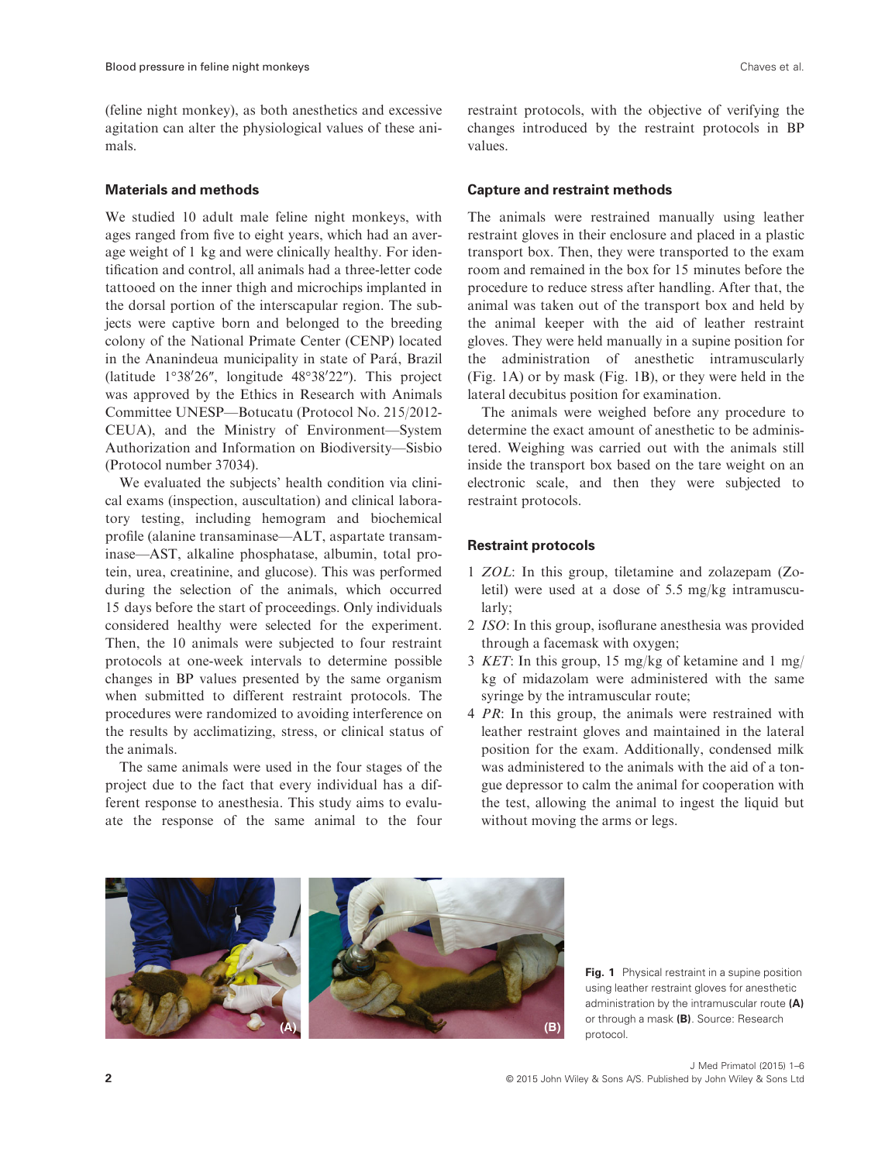(feline night monkey), as both anesthetics and excessive agitation can alter the physiological values of these animals.

## Materials and methods

We studied 10 adult male feline night monkeys, with ages ranged from five to eight years, which had an average weight of 1 kg and were clinically healthy. For identification and control, all animals had a three-letter code tattooed on the inner thigh and microchips implanted in the dorsal portion of the interscapular region. The subjects were captive born and belonged to the breeding colony of the National Primate Center (CENP) located in the Ananindeua municipality in state of Para, Brazil (latitude  $1^{\circ}38'26''$ , longitude  $48^{\circ}38'22''$ ). This project was approved by the Ethics in Research with Animals Committee UNESP—Botucatu (Protocol No. 215/2012- CEUA), and the Ministry of Environment—System Authorization and Information on Biodiversity—Sisbio (Protocol number 37034).

We evaluated the subjects' health condition via clinical exams (inspection, auscultation) and clinical laboratory testing, including hemogram and biochemical profile (alanine transaminase—ALT, aspartate transaminase—AST, alkaline phosphatase, albumin, total protein, urea, creatinine, and glucose). This was performed during the selection of the animals, which occurred 15 days before the start of proceedings. Only individuals considered healthy were selected for the experiment. Then, the 10 animals were subjected to four restraint protocols at one-week intervals to determine possible changes in BP values presented by the same organism when submitted to different restraint protocols. The procedures were randomized to avoiding interference on the results by acclimatizing, stress, or clinical status of the animals.

The same animals were used in the four stages of the project due to the fact that every individual has a different response to anesthesia. This study aims to evaluate the response of the same animal to the four

## Capture and restraint methods

The animals were restrained manually using leather restraint gloves in their enclosure and placed in a plastic transport box. Then, they were transported to the exam room and remained in the box for 15 minutes before the procedure to reduce stress after handling. After that, the animal was taken out of the transport box and held by the animal keeper with the aid of leather restraint gloves. They were held manually in a supine position for the administration of anesthetic intramuscularly (Fig. 1A) or by mask (Fig. 1B), or they were held in the lateral decubitus position for examination.

The animals were weighed before any procedure to determine the exact amount of anesthetic to be administered. Weighing was carried out with the animals still inside the transport box based on the tare weight on an electronic scale, and then they were subjected to restraint protocols.

## Restraint protocols

- 1 ZOL: In this group, tiletamine and zolazepam (Zoletil) were used at a dose of 5.5 mg/kg intramuscularly;
- 2 ISO: In this group, isoflurane anesthesia was provided through a facemask with oxygen;
- 3 KET: In this group, 15 mg/kg of ketamine and 1 mg/ kg of midazolam were administered with the same syringe by the intramuscular route;
- 4 PR: In this group, the animals were restrained with leather restraint gloves and maintained in the lateral position for the exam. Additionally, condensed milk was administered to the animals with the aid of a tongue depressor to calm the animal for cooperation with the test, allowing the animal to ingest the liquid but without moving the arms or legs.



Fig. 1 Physical restraint in a supine position using leather restraint gloves for anesthetic administration by the intramuscular route (A) or through a mask (B). Source: Research protocol.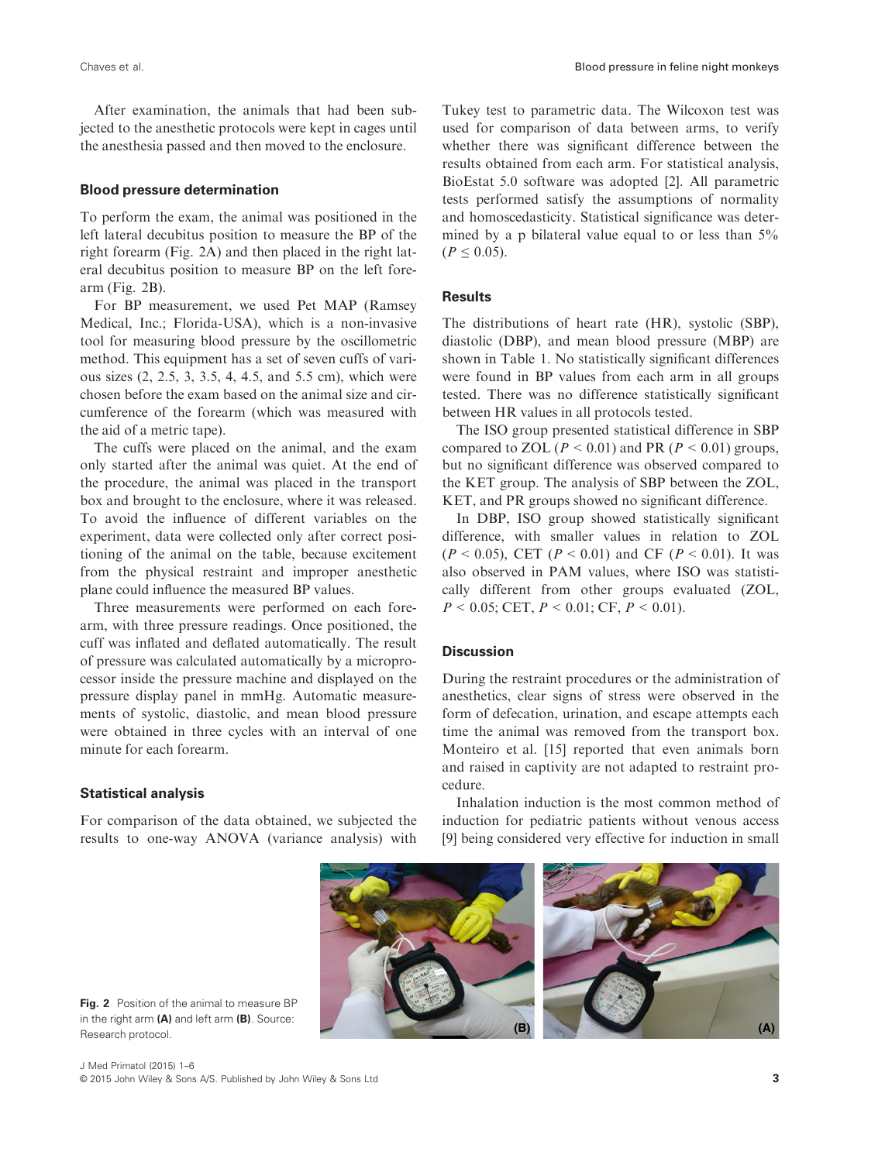After examination, the animals that had been subjected to the anesthetic protocols were kept in cages until the anesthesia passed and then moved to the enclosure.

## Blood pressure determination

To perform the exam, the animal was positioned in the left lateral decubitus position to measure the BP of the right forearm (Fig. 2A) and then placed in the right lateral decubitus position to measure BP on the left forearm (Fig. 2B).

For BP measurement, we used Pet MAP (Ramsey Medical, Inc.; Florida-USA), which is a non-invasive tool for measuring blood pressure by the oscillometric method. This equipment has a set of seven cuffs of various sizes (2, 2.5, 3, 3.5, 4, 4.5, and 5.5 cm), which were chosen before the exam based on the animal size and circumference of the forearm (which was measured with the aid of a metric tape).

The cuffs were placed on the animal, and the exam only started after the animal was quiet. At the end of the procedure, the animal was placed in the transport box and brought to the enclosure, where it was released. To avoid the influence of different variables on the experiment, data were collected only after correct positioning of the animal on the table, because excitement from the physical restraint and improper anesthetic plane could influence the measured BP values.

Three measurements were performed on each forearm, with three pressure readings. Once positioned, the cuff was inflated and deflated automatically. The result of pressure was calculated automatically by a microprocessor inside the pressure machine and displayed on the pressure display panel in mmHg. Automatic measurements of systolic, diastolic, and mean blood pressure were obtained in three cycles with an interval of one minute for each forearm.

## Statistical analysis

For comparison of the data obtained, we subjected the results to one-way ANOVA (variance analysis) with Tukey test to parametric data. The Wilcoxon test was used for comparison of data between arms, to verify whether there was significant difference between the results obtained from each arm. For statistical analysis, BioEstat 5.0 software was adopted [2]. All parametric tests performed satisfy the assumptions of normality and homoscedasticity. Statistical significance was determined by a p bilateral value equal to or less than 5%  $(P \le 0.05)$ .

## **Results**

The distributions of heart rate (HR), systolic (SBP), diastolic (DBP), and mean blood pressure (MBP) are shown in Table 1. No statistically significant differences were found in BP values from each arm in all groups tested. There was no difference statistically significant between HR values in all protocols tested.

The ISO group presented statistical difference in SBP compared to ZOL ( $P < 0.01$ ) and PR ( $P < 0.01$ ) groups, but no significant difference was observed compared to the KET group. The analysis of SBP between the ZOL, KET, and PR groups showed no significant difference.

In DBP, ISO group showed statistically significant difference, with smaller values in relation to ZOL  $(P < 0.05)$ , CET  $(P < 0.01)$  and CF  $(P < 0.01)$ . It was also observed in PAM values, where ISO was statistically different from other groups evaluated (ZOL,  $P < 0.05$ ; CET,  $P < 0.01$ ; CF,  $P < 0.01$ ).

## **Discussion**

During the restraint procedures or the administration of anesthetics, clear signs of stress were observed in the form of defecation, urination, and escape attempts each time the animal was removed from the transport box. Monteiro et al. [15] reported that even animals born and raised in captivity are not adapted to restraint procedure.

Inhalation induction is the most common method of induction for pediatric patients without venous access [9] being considered very effective for induction in small



Fig. 2 Position of the animal to measure BP in the right arm  $(A)$  and left arm  $(B)$ . Source: Research protocol.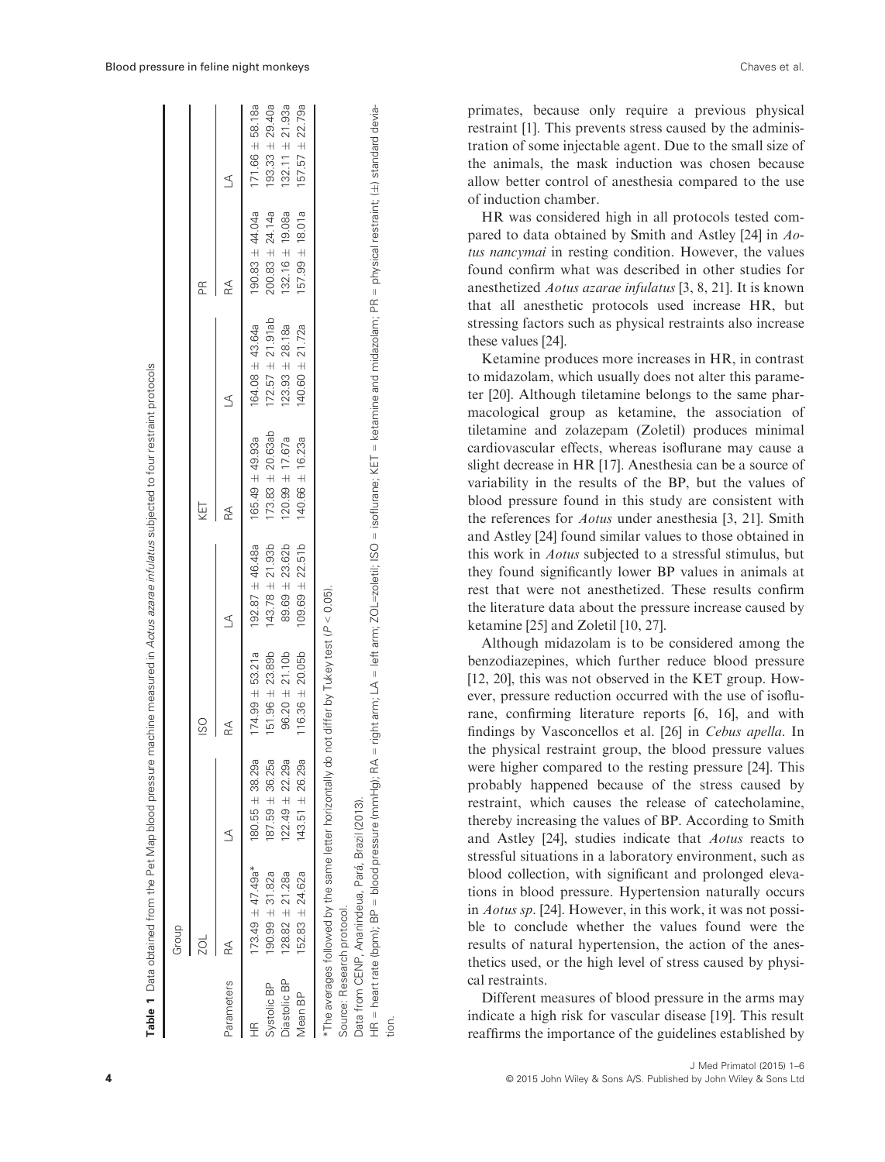|                     | Table 1 Data obtained from the Pet Map blood pressure machine measured in Aot <i>us azarae infulatus</i> subjected to four restraint protocols |                     |                     |                     |                      |                      |                     |                     |
|---------------------|------------------------------------------------------------------------------------------------------------------------------------------------|---------------------|---------------------|---------------------|----------------------|----------------------|---------------------|---------------------|
|                     | Group                                                                                                                                          |                     |                     |                     |                      |                      |                     |                     |
|                     |                                                                                                                                                |                     | ISO                 |                     | KET                  |                      | Æ                   |                     |
| Parameters          |                                                                                                                                                |                     |                     |                     | $\mathbb{R}$         | $\triangleq$         | R                   | $\triangleq$        |
| ≃                   | $173.49 \pm 47.49$ a*                                                                                                                          | $180.55 \pm 38.29a$ | $174.99 \pm 53.21a$ | $192.87 \pm 46.48a$ | $165.49 \pm 49.93a$  | $164.08 \pm 43.64a$  | $190.83 \pm 44.04a$ | $171.66 \pm 58.18a$ |
| Systolic BP         | $190.99 \pm 31.82a$                                                                                                                            | $187.59 \pm 36.25a$ | $151.96 \pm 23.89b$ | $143.78 \pm 21.93b$ | $173.83 \pm 20.63ab$ | $172.57 \pm 21.91ab$ | $200.83 \pm 24.14a$ | $193.33 \pm 29.40a$ |
| <b>Diastolic BP</b> | $128.82 \pm 21.28a$                                                                                                                            | $122.49 \pm 22.29a$ | $96.20 \pm 21.10b$  | $89.69 \pm 23.62b$  | $120.99 \pm 17.67a$  | $123.93 \pm 28.18a$  | $132.16 \pm 19.08a$ | $132.11 \pm 21.93a$ |
| Vlean BP            | $152.83 \pm 24.62a$                                                                                                                            | $143.51 \pm 26.29a$ | $116.36 \pm 20.05b$ | $109.69 \pm 22.51b$ | 140.66 $\pm$ 16.23a  | 140.60 $\pm$ 21.72a  | $157.99 \pm 18.01a$ | $157.57 \pm 22.79a$ |
|                     | *The averages followed by the same letter horizontally do not differ by Tukey test ( $P < 0.05$ ).                                             |                     |                     |                     |                      |                      |                     |                     |

Source: Research protocol. Source: Research protocol.

Data from CENP. Ananindeua. Pará. Brazil (2013). Data from CENP, Ananindeua, Pará, Brazil (2013).

= physical restraint; (±) standard devia-) standard devia-HR = heart rate (bpm); BP = blood pressure (mmHg); RA = right arm; LA = left arm; ZOL=zoletil; ISO = isoflurane; KET = ketamine and midazolam; PR = physical restraint; ( heart rate (bpm); BP = blood pressure (mmHg); RA = right arm; LA = left arm; ZOL=zoleti¦; ISO = isoflurane; KET = ketamine and midazolam; PR  $\widetilde{\mathbb{E}}$ tion. primates, because only require a previous physical restraint [1]. This prevents stress caused by the administration of some injectable agent. Due to the small size of the animals, the mask induction was chosen because allow better control of anesthesia compared to the use of induction chamber.

HR was considered high in all protocols tested compared to data obtained by Smith and Astley [24] in Aotus nancymai in resting condition. However, the values found confirm what was described in other studies for anesthetized Aotus azarae infulatus [3, 8, 21]. It is known that all anesthetic protocols used increase HR, but stressing factors such as physical restraints also increase these values [24].

Ketamine produces more increases in HR, in contrast to midazolam, which usually does not alter this parameter [20]. Although tiletamine belongs to the same pharmacological group as ketamine, the association of tiletamine and zolazepam (Zoletil) produces minimal cardiovascular effects, whereas isoflurane may cause a slight decrease in HR [17]. Anesthesia can be a source of variability in the results of the BP, but the values of blood pressure found in this study are consistent with the references for Aotus under anesthesia [3, 21]. Smith and Astley [24] found similar values to those obtained in this work in Aotus subjected to a stressful stimulus, but they found significantly lower BP values in animals at rest that were not anesthetized. These results confirm the literature data about the pressure increase caused by ketamine [25] and Zoletil [10, 27].

Although midazolam is to be considered among the benzodiazepines, which further reduce blood pressure [12, 20], this was not observed in the KET group. However, pressure reduction occurred with the use of isoflurane, confirming literature reports [6, 16], and with findings by Vasconcellos et al. [26] in Cebus apella. In the physical restraint group, the blood pressure values were higher compared to the resting pressure [24]. This probably happened because of the stress caused by restraint, which causes the release of catecholamine, thereby increasing the values of BP. According to Smith and Astley [24], studies indicate that Aotus reacts to stressful situations in a laboratory environment, such as blood collection, with significant and prolonged elevations in blood pressure. Hypertension naturally occurs in Aotus sp. [24]. However, in this work, it was not possible to conclude whether the values found were the results of natural hypertension, the action of the anesthetics used, or the high level of stress caused by physical restraints.

Different measures of blood pressure in the arms may indicate a high risk for vascular disease [19]. This result reaffirms the importance of the guidelines established by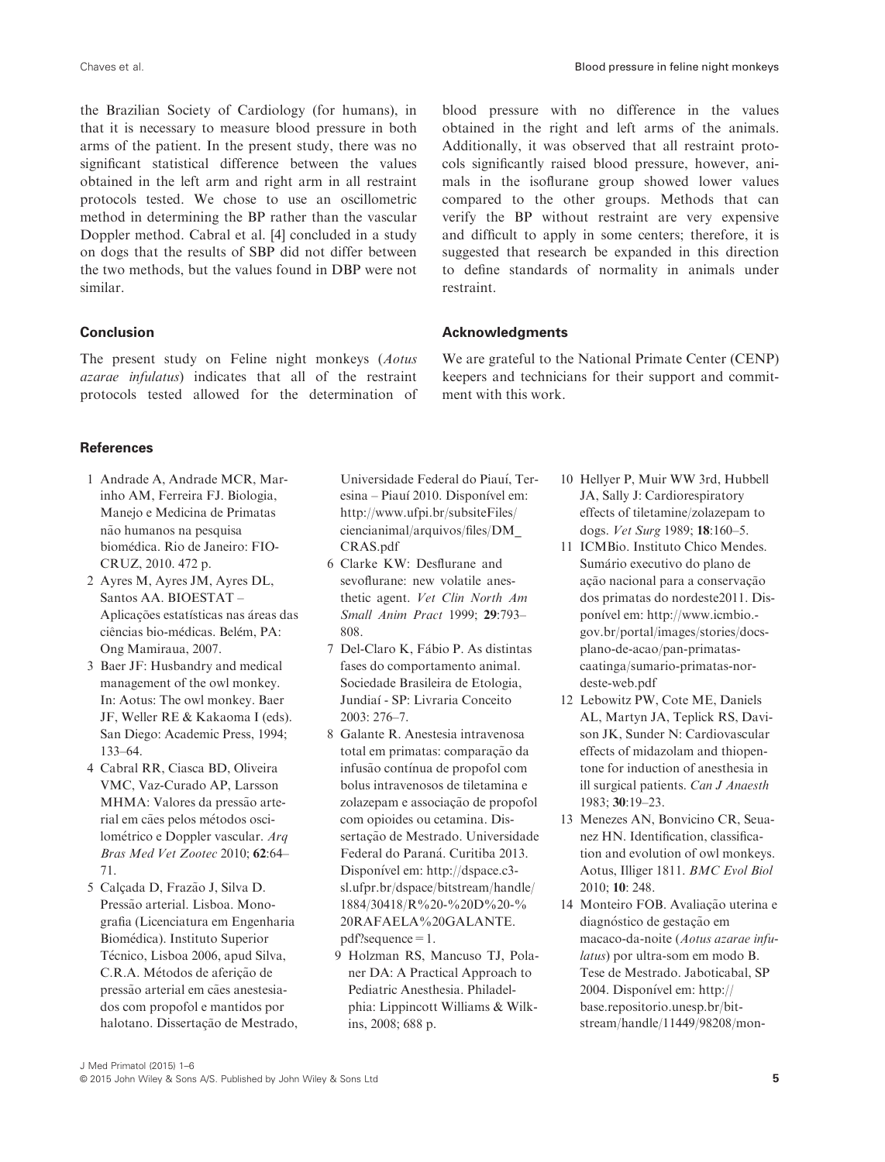the Brazilian Society of Cardiology (for humans), in that it is necessary to measure blood pressure in both arms of the patient. In the present study, there was no significant statistical difference between the values obtained in the left arm and right arm in all restraint protocols tested. We chose to use an oscillometric method in determining the BP rather than the vascular Doppler method. Cabral et al. [4] concluded in a study on dogs that the results of SBP did not differ between the two methods, but the values found in DBP were not similar.

## Conclusion

The present study on Feline night monkeys (Aotus azarae infulatus) indicates that all of the restraint protocols tested allowed for the determination of

blood pressure with no difference in the values obtained in the right and left arms of the animals. Additionally, it was observed that all restraint protocols significantly raised blood pressure, however, animals in the isoflurane group showed lower values compared to the other groups. Methods that can verify the BP without restraint are very expensive and difficult to apply in some centers; therefore, it is suggested that research be expanded in this direction to define standards of normality in animals under restraint.

## Acknowledgments

We are grateful to the National Primate Center (CENP) keepers and technicians for their support and commitment with this work.

# References

- 1 Andrade A, Andrade MCR, Marinho AM, Ferreira FJ. Biologia, Manejo e Medicina de Primatas não humanos na pesquisa biomedica. Rio de Janeiro: FIO-CRUZ, 2010. 472 p.
- 2 Ayres M, Ayres JM, Ayres DL, Santos AA. BIOESTAT – Aplicações estatísticas nas áreas das ciências bio-médicas. Belém, PA: Ong Mamiraua, 2007.
- 3 Baer JF: Husbandry and medical management of the owl monkey. In: Aotus: The owl monkey. Baer JF, Weller RE & Kakaoma I (eds). San Diego: Academic Press, 1994; 133–64.
- 4 Cabral RR, Ciasca BD, Oliveira VMC, Vaz-Curado AP, Larsson MHMA: Valores da pressão arterial em cães pelos métodos oscilometrico e Doppler vascular. Arq Bras Med Vet Zootec 2010; 62:64– 71.
- 5 Calcada D, Frazão J, Silva D. Pressão arterial. Lisboa. Monografia (Licenciatura em Engenharia Biomedica). Instituto Superior Técnico, Lisboa 2006, apud Silva, C.R.A. Métodos de aferição de pressão arterial em cães anestesiados com propofol e mantidos por halotano. Dissertação de Mestrado,

Universidade Federal do Piauı, Teresina – Piauí 2010. Disponível em: [http://www.ufpi.br/subsiteFiles/](http://www.ufpi.br/subsiteFiles/ciencianimal/arquivos/files/DM_CRAS.pdf) [ciencianimal/arquivos/files/DM\\_](http://www.ufpi.br/subsiteFiles/ciencianimal/arquivos/files/DM_CRAS.pdf) [CRAS.pdf](http://www.ufpi.br/subsiteFiles/ciencianimal/arquivos/files/DM_CRAS.pdf)

- 6 Clarke KW: Desflurane and sevoflurane: new volatile anesthetic agent. Vet Clin North Am Small Anim Pract 1999; 29:793– 808.
- 7 Del-Claro K, Fabio P. As distintas fases do comportamento animal. Sociedade Brasileira de Etologia, Jundiaı - SP: Livraria Conceito 2003: 276–7.
- 8 Galante R. Anestesia intravenosa total em primatas: comparação da infusão contínua de propofol com bolus intravenosos de tiletamina e zolazepam e associação de propofol com opioides ou cetamina. Dissertação de Mestrado. Universidade Federal do Paraná. Curitiba 2013. Disponível em: [http://dspace.c3](http://dspace.c3sl.ufpr.br/dspace/bitstream/handle/1884/30418/R%20-%20D%20-%20RAFAELA%20GALANTE.pdf?sequence=1) [sl.ufpr.br/dspace/bitstream/handle/](http://dspace.c3sl.ufpr.br/dspace/bitstream/handle/1884/30418/R%20-%20D%20-%20RAFAELA%20GALANTE.pdf?sequence=1) [1884/30418/R%20-%20D%20-%](http://dspace.c3sl.ufpr.br/dspace/bitstream/handle/1884/30418/R%20-%20D%20-%20RAFAELA%20GALANTE.pdf?sequence=1) [20RAFAELA%20GALANTE.](http://dspace.c3sl.ufpr.br/dspace/bitstream/handle/1884/30418/R%20-%20D%20-%20RAFAELA%20GALANTE.pdf?sequence=1) [pdf?sequence=1](http://dspace.c3sl.ufpr.br/dspace/bitstream/handle/1884/30418/R%20-%20D%20-%20RAFAELA%20GALANTE.pdf?sequence=1).
- 9 Holzman RS, Mancuso TJ, Polaner DA: A Practical Approach to Pediatric Anesthesia. Philadelphia: Lippincott Williams & Wilkins, 2008; 688 p.
- 10 Hellyer P, Muir WW 3rd, Hubbell JA, Sally J: Cardiorespiratory effects of tiletamine/zolazepam to dogs. Vet Surg 1989; 18:160–5.
- 11 ICMBio. Instituto Chico Mendes. Sumário executivo do plano de ação nacional para a conservação dos primatas do nordeste2011. Disponıvel em: [http://www.icmbio.](http://www.icmbio.gov.br/portal/images/stories/docs-plano-de-acao/pan-primatas-caatinga/sumario-primatas-nordeste-web.pdf) [gov.br/portal/images/stories/docs](http://www.icmbio.gov.br/portal/images/stories/docs-plano-de-acao/pan-primatas-caatinga/sumario-primatas-nordeste-web.pdf)[plano-de-acao/pan-primatas](http://www.icmbio.gov.br/portal/images/stories/docs-plano-de-acao/pan-primatas-caatinga/sumario-primatas-nordeste-web.pdf)[caatinga/sumario-primatas-nor](http://www.icmbio.gov.br/portal/images/stories/docs-plano-de-acao/pan-primatas-caatinga/sumario-primatas-nordeste-web.pdf)[deste-web.pdf](http://www.icmbio.gov.br/portal/images/stories/docs-plano-de-acao/pan-primatas-caatinga/sumario-primatas-nordeste-web.pdf)
- 12 Lebowitz PW, Cote ME, Daniels AL, Martyn JA, Teplick RS, Davison JK, Sunder N: Cardiovascular effects of midazolam and thiopentone for induction of anesthesia in ill surgical patients. Can J Anaesth 1983; 30:19–23.
- 13 Menezes AN, Bonvicino CR, Seuanez HN. Identification, classification and evolution of owl monkeys. Aotus, Illiger 1811. BMC Evol Biol 2010; 10: 248.
- 14 Monteiro FOB. Avaliação uterina e diagnóstico de gestação em macaco-da-noite (Aotus azarae infulatus) por ultra-som em modo B. Tese de Mestrado. Jaboticabal, SP 2004. Disponível em: [http://](http://base.repositorio.unesp.br/bitstream/handle/11449/98208/monteiro_fob_me_jabo.pdf?sequence=1***%5band%5d***isAllowed=y) [base.repositorio.unesp.br/bit](http://base.repositorio.unesp.br/bitstream/handle/11449/98208/monteiro_fob_me_jabo.pdf?sequence=1***%5band%5d***isAllowed=y)[stream/handle/11449/98208/mon-](http://base.repositorio.unesp.br/bitstream/handle/11449/98208/monteiro_fob_me_jabo.pdf?sequence=1***%5band%5d***isAllowed=y)